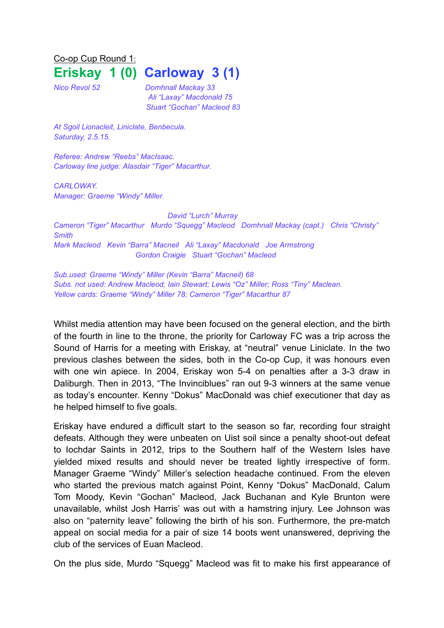Co-op Cup Round 1: **Eriskay 1 (0) Carloway 3 (1)**

*Nico Revol 52 Domhnall Mackay 33 Ali "Laxay" Macdonald 75 Stuart "Gochan" Macleod 83*

*At Sgoil Lionacleit, Liniclate, Benbecula. Saturday, 2.5.15.*

*Referee: Andrew "Reebs" MacIsaac. Carloway line judge: Alasdair "Tiger" Macarthur.*

*CARLOWAY. Manager: Graeme "Windy" Miller.*

*David "Lurch" Murray Cameron "Tiger" Macarthur Murdo "Squegg" Macleod Domhnall Mackay (capt.) Chris "Christy" Smith Mark Macleod Kevin "Barra" Macneil Ali "Laxay" Macdonald Joe Armstrong Gordon Craigie Stuart "Gochan" Macleod*

*Sub.used: Graeme "Windy" Miller (Kevin "Barra" Macneil) 68 Subs. not used: Andrew Macleod; Iain Stewart; Lewis "Oz" Miller; Ross "Tiny" Maclean. Yellow cards: Graeme "Windy" Miller 78; Cameron "Tiger" Macarthur 87*

Whilst media attention may have been focused on the general election, and the birth of the fourth in line to the throne, the priority for Carloway FC was a trip across the Sound of Harris for a meeting with Eriskay, at "neutral" venue Liniclate. In the two previous clashes between the sides, both in the Co-op Cup, it was honours even with one win apiece. In 2004, Eriskay won 5-4 on penalties after a 3-3 draw in Daliburgh. Then in 2013, "The Invinciblues" ran out 9-3 winners at the same venue as today's encounter. Kenny "Dokus" MacDonald was chief executioner that day as he helped himself to five goals.

Eriskay have endured a difficult start to the season so far, recording four straight defeats. Although they were unbeaten on Uist soil since a penalty shoot-out defeat to Iochdar Saints in 2012, trips to the Southern half of the Western Isles have yielded mixed results and should never be treated lightly irrespective of form. Manager Graeme "Windy" Miller's selection headache continued. From the eleven who started the previous match against Point, Kenny "Dokus" MacDonald, Calum Tom Moody, Kevin "Gochan" Macleod, Jack Buchanan and Kyle Brunton were unavailable, whilst Josh Harris' was out with a hamstring injury. Lee Johnson was also on "paternity leave" following the birth of his son. Furthermore, the pre-match appeal on social media for a pair of size 14 boots went unanswered, depriving the club of the services of Euan Macleod.

On the plus side, Murdo "Squegg" Macleod was fit to make his first appearance of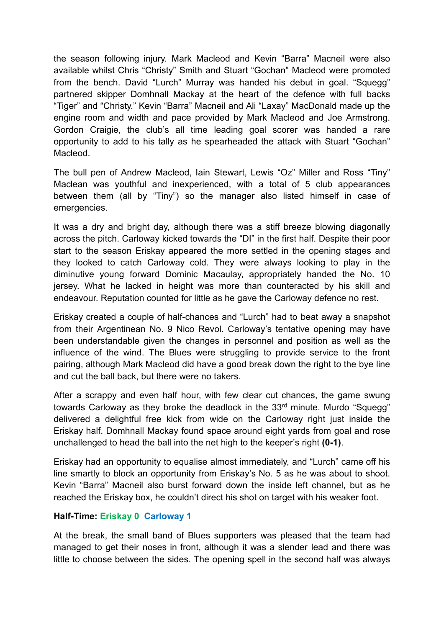the season following injury. Mark Macleod and Kevin "Barra" Macneil were also available whilst Chris "Christy" Smith and Stuart "Gochan" Macleod were promoted from the bench. David "Lurch" Murray was handed his debut in goal. "Squegg" partnered skipper Domhnall Mackay at the heart of the defence with full backs "Tiger" and "Christy." Kevin "Barra" Macneil and Ali "Laxay" MacDonald made up the engine room and width and pace provided by Mark Macleod and Joe Armstrong. Gordon Craigie, the club's all time leading goal scorer was handed a rare opportunity to add to his tally as he spearheaded the attack with Stuart "Gochan" Macleod.

The bull pen of Andrew Macleod, Iain Stewart, Lewis "Oz" Miller and Ross "Tiny" Maclean was youthful and inexperienced, with a total of 5 club appearances between them (all by "Tiny") so the manager also listed himself in case of emergencies.

It was a dry and bright day, although there was a stiff breeze blowing diagonally across the pitch. Carloway kicked towards the "DI" in the first half. Despite their poor start to the season Eriskay appeared the more settled in the opening stages and they looked to catch Carloway cold. They were always looking to play in the diminutive young forward Dominic Macaulay, appropriately handed the No. 10 jersey. What he lacked in height was more than counteracted by his skill and endeavour. Reputation counted for little as he gave the Carloway defence no rest.

Eriskay created a couple of half-chances and "Lurch" had to beat away a snapshot from their Argentinean No. 9 Nico Revol. Carloway's tentative opening may have been understandable given the changes in personnel and position as well as the influence of the wind. The Blues were struggling to provide service to the front pairing, although Mark Macleod did have a good break down the right to the bye line and cut the ball back, but there were no takers.

After a scrappy and even half hour, with few clear cut chances, the game swung towards Carloway as they broke the deadlock in the 33<sup>rd</sup> minute. Murdo "Squegg" delivered a delightful free kick from wide on the Carloway right just inside the Eriskay half. Domhnall Mackay found space around eight yards from goal and rose unchallenged to head the ball into the net high to the keeper's right **(0-1)**.

Eriskay had an opportunity to equalise almost immediately, and "Lurch" came off his line smartly to block an opportunity from Eriskay's No. 5 as he was about to shoot. Kevin "Barra" Macneil also burst forward down the inside left channel, but as he reached the Eriskay box, he couldn't direct his shot on target with his weaker foot.

## **Half-Time: Eriskay 0 Carloway 1**

At the break, the small band of Blues supporters was pleased that the team had managed to get their noses in front, although it was a slender lead and there was little to choose between the sides. The opening spell in the second half was always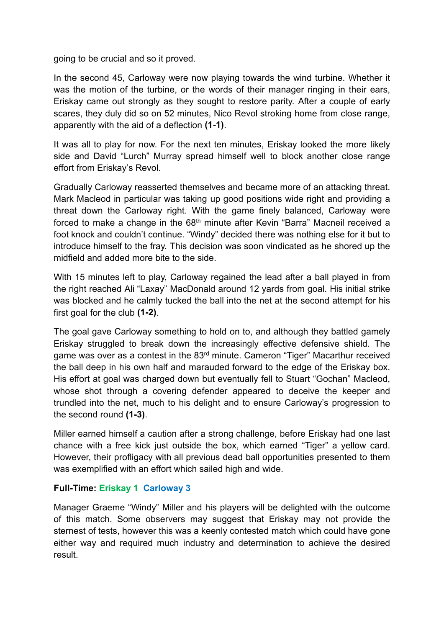going to be crucial and so it proved.

In the second 45, Carloway were now playing towards the wind turbine. Whether it was the motion of the turbine, or the words of their manager ringing in their ears, Eriskay came out strongly as they sought to restore parity. After a couple of early scares, they duly did so on 52 minutes, Nico Revol stroking home from close range, apparently with the aid of a deflection **(1-1)**.

It was all to play for now. For the next ten minutes, Eriskay looked the more likely side and David "Lurch" Murray spread himself well to block another close range effort from Eriskay's Revol.

Gradually Carloway reasserted themselves and became more of an attacking threat. Mark Macleod in particular was taking up good positions wide right and providing a threat down the Carloway right. With the game finely balanced, Carloway were forced to make a change in the  $68<sup>th</sup>$  minute after Kevin "Barra" Macneil received a foot knock and couldn't continue. "Windy" decided there was nothing else for it but to introduce himself to the fray. This decision was soon vindicated as he shored up the midfield and added more bite to the side.

With 15 minutes left to play, Carloway regained the lead after a ball played in from the right reached Ali "Laxay" MacDonald around 12 yards from goal. His initial strike was blocked and he calmly tucked the ball into the net at the second attempt for his first goal for the club **(1-2)**.

The goal gave Carloway something to hold on to, and although they battled gamely Eriskay struggled to break down the increasingly effective defensive shield. The game was over as a contest in the 83<sup>rd</sup> minute. Cameron "Tiger" Macarthur received the ball deep in his own half and marauded forward to the edge of the Eriskay box. His effort at goal was charged down but eventually fell to Stuart "Gochan" Macleod, whose shot through a covering defender appeared to deceive the keeper and trundled into the net, much to his delight and to ensure Carloway's progression to the second round **(1-3)**.

Miller earned himself a caution after a strong challenge, before Eriskay had one last chance with a free kick just outside the box, which earned "Tiger" a yellow card. However, their profligacy with all previous dead ball opportunities presented to them was exemplified with an effort which sailed high and wide.

## **Full-Time: Eriskay 1 Carloway 3**

Manager Graeme "Windy" Miller and his players will be delighted with the outcome of this match. Some observers may suggest that Eriskay may not provide the sternest of tests, however this was a keenly contested match which could have gone either way and required much industry and determination to achieve the desired result.